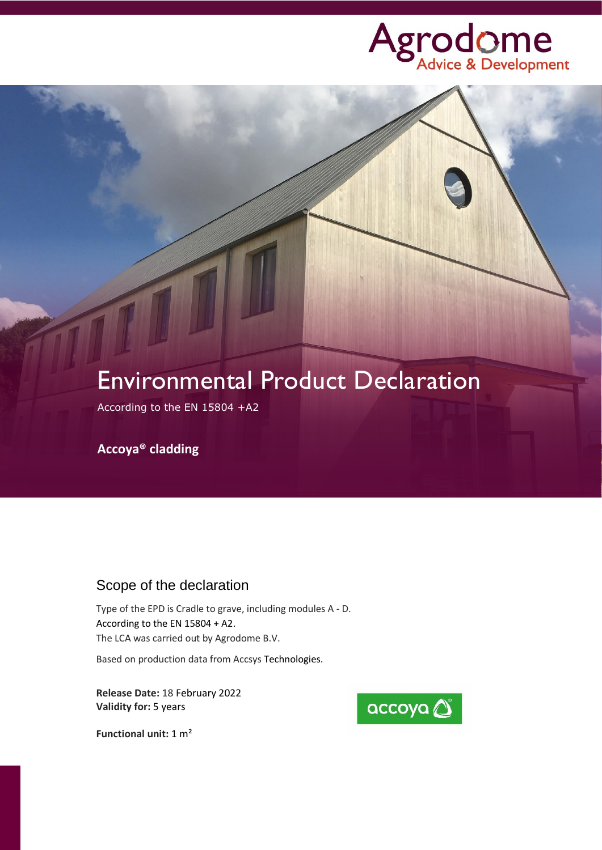

# Environmental Product Declaration

According to the EN 15804 +A2

**Accoya® cladding**

# Scope of the declaration

Type of the EPD is Cradle to grave, including modules A - D. According to the EN 15804 + A2. The LCA was carried out by Agrodome B.V.

Based on production data from Accsys Technologies.

**Release Date:** 18 February 2022 **Validity for:** 5 years



**Functional unit:** 1 m²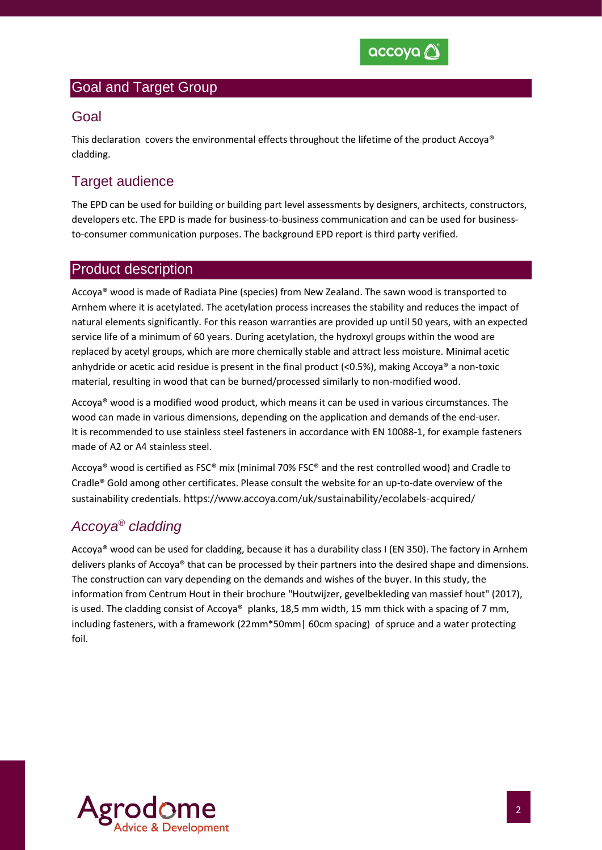

# Goal and Target Group

### Goal

This declaration covers the environmental effects throughout the lifetime of the product Accoya® cladding.

# Target audience

The EPD can be used for building or building part level assessments by designers, architects, constructors, developers etc. The EPD is made for business-to-business communication and can be used for businessto-consumer communication purposes. The background EPD report is third party verified.

### Product description

Accoya® wood is made of Radiata Pine (species) from New Zealand. The sawn wood is transported to Arnhem where it is acetylated. The acetylation process increases the stability and reduces the impact of natural elements significantly. For this reason warranties are provided up until 50 years, with an expected service life of a minimum of 60 years. During acetylation, the hydroxyl groups within the wood are replaced by acetyl groups, which are more chemically stable and attract less moisture. Minimal acetic anhydride or acetic acid residue is present in the final product (<0.5%), making Accoya® a non-toxic material, resulting in wood that can be burned/processed similarly to non-modified wood.

Accoya® wood is a modified wood product, which means it can be used in various circumstances. The wood can made in various dimensions, depending on the application and demands of the end-user. It is recommended to use stainless steel fasteners in accordance with EN 10088-1, for example fasteners made of A2 or A4 stainless steel.

Accoya® wood is certified as FSC® mix (minimal 70% FSC® and the rest controlled wood) and Cradle to Cradle® Gold among other certificates. Please consult the website for an up-to-date overview of the sustainability credentials. https://www.accoya.com/uk/sustainability/ecolabels-acquired/

# *Accoya® cladding*

Accoya® wood can be used for cladding, because it has a durability class I (EN 350). The factory in Arnhem delivers planks of Accoya® that can be processed by their partners into the desired shape and dimensions. The construction can vary depending on the demands and wishes of the buyer. In this study, the information from Centrum Hout in their brochure "Houtwijzer, gevelbekleding van massief hout" (2017), is used. The cladding consist of Accoya® planks, 18,5 mm width, 15 mm thick with a spacing of 7 mm, including fasteners, with a framework (22mm\*50mm| 60cm spacing) of spruce and a water protecting foil.

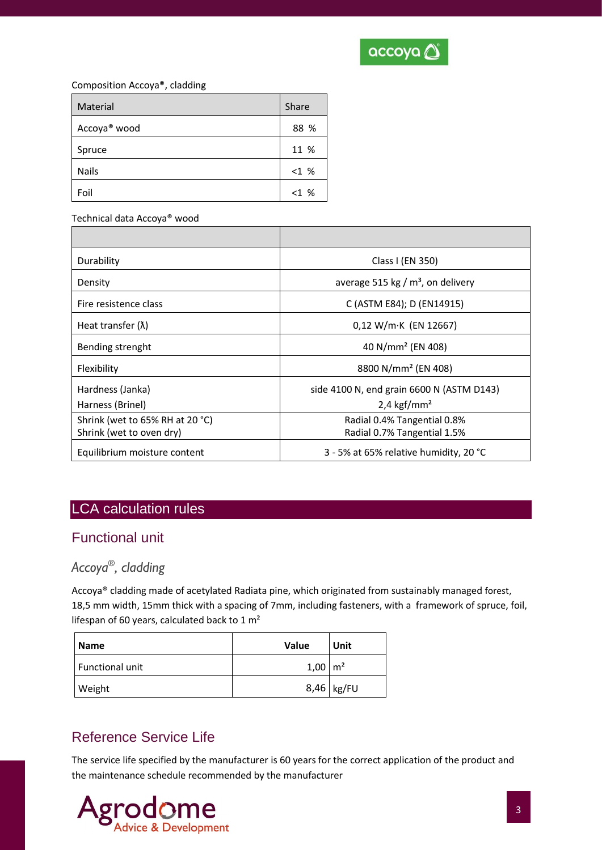

#### Composition Accoya®, cladding

| Material                 | Share  |
|--------------------------|--------|
| Accoya <sup>®</sup> wood | 88 %   |
| Spruce                   | 11 %   |
| <b>Nails</b>             | <1%    |
| Foil                     | $<1$ % |

Technical data Accoya® wood

| Durability                                                  | Class I (EN 350)                                                     |
|-------------------------------------------------------------|----------------------------------------------------------------------|
| Density                                                     | average 515 kg / $m3$ , on delivery                                  |
| Fire resistence class                                       | C (ASTM E84); D (EN14915)                                            |
| Heat transfer $(\lambda)$                                   | $0,12 W/m·K$ (EN 12667)                                              |
| Bending strenght                                            | 40 N/mm <sup>2</sup> (EN 408)                                        |
| Flexibility                                                 | 8800 N/mm <sup>2</sup> (EN 408)                                      |
| Hardness (Janka)<br>Harness (Brinel)                        | side 4100 N, end grain 6600 N (ASTM D143)<br>2,4 kgf/mm <sup>2</sup> |
| Shrink (wet to 65% RH at 20 °C)<br>Shrink (wet to oven dry) | Radial 0.4% Tangential 0.8%<br>Radial 0.7% Tangential 1.5%           |
| Equilibrium moisture content                                | 3 - 5% at 65% relative humidity, 20 $^{\circ}$ C                     |

# LCA calculation rules

# Functional unit

# *Accoya® , cladding*

Accoya® cladding made of acetylated Radiata pine, which originated from sustainably managed forest, 18,5 mm width, 15mm thick with a spacing of 7mm, including fasteners, with a framework of spruce, foil, lifespan of 60 years, calculated back to 1 m<sup>2</sup>

| l Name          | Value                | Unit       |
|-----------------|----------------------|------------|
| Functional unit | $1,00 \, \text{m}^2$ |            |
| Weight          |                      | 8,46 kg/FU |

# Reference Service Life

The service life specified by the manufacturer is 60 years for the correct application of the product and the maintenance schedule recommended by the manufacturer

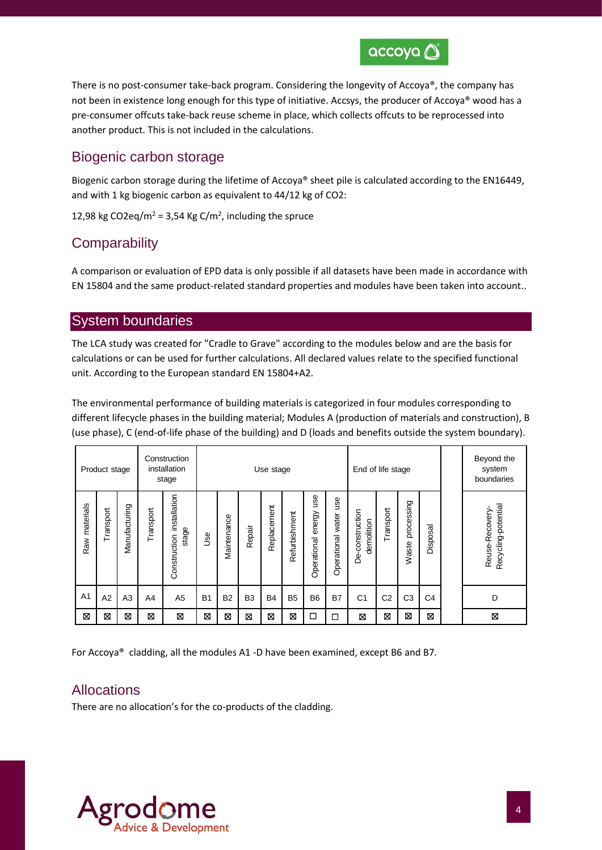

There is no post-consumer take-back program. Considering the longevity of Accoya®, the company has not been in existence long enough for this type of initiative. Accsys, the producer of Accoya® wood has a pre-consumer offcuts take-back reuse scheme in place, which collects offcuts to be reprocessed into another product. This is not included in the calculations.

# Biogenic carbon storage

Biogenic carbon storage during the lifetime of Accoya® sheet pile is calculated according to the EN16449, and with 1 kg biogenic carbon as equivalent to 44/12 kg of CO2:

12,98 kg CO2eq/m<sup>2</sup> = 3,54 Kg C/m<sup>2</sup>, including the spruce

# **Comparability**

A comparison or evaluation of EPD data is only possible if all datasets have been made in accordance with EN 15804 and the same product-related standard properties and modules have been taken into account..

### System boundaries

The LCA study was created for "Cradle to Grave" according to the modules below and are the basis for calculations or can be used for further calculations. All declared values relate to the specified functional unit. According to the European standard EN 15804+A2.

The environmental performance of building materials is categorized in four modules corresponding to different lifecycle phases in the building material; Modules A (production of materials and construction), B (use phase), C (end-of-life phase of the building) and D (loads and benefits outside the system boundary).

|                  | Product stage |               |           | Construction<br>installation<br>stage |           |             |                | Use stage   |                |                              |                             | End of life stage                |                |                     |                | Beyond the<br>system<br>boundaries     |
|------------------|---------------|---------------|-----------|---------------------------------------|-----------|-------------|----------------|-------------|----------------|------------------------------|-----------------------------|----------------------------------|----------------|---------------------|----------------|----------------------------------------|
| materials<br>Raw | Transport     | Manufacturing | Transport | installation<br>stage<br>Construction | Jse       | Maintenance | Repair         | Replacement | Refurbishment  | use<br>energy<br>Operational | use<br>water<br>Operational | -construction<br>demolition<br>ۋ | Transport      | processing<br>Waste | Disposal       | Recycling-potential<br>Reuse-Recovery- |
| A <sub>1</sub>   | A2            | A3            | A4        | A <sub>5</sub>                        | <b>B1</b> | <b>B2</b>   | B <sub>3</sub> | <b>B4</b>   | B <sub>5</sub> | B <sub>6</sub>               | <b>B7</b>                   | C <sub>1</sub>                   | C <sub>2</sub> | C <sub>3</sub>      | C <sub>4</sub> | D                                      |
| ⊠                | ⊠             | ⊠             | X         | ⊠                                     | ⊠         | X           | ⊠              | ⊠           | ⊠              | □                            | □                           | ⊠                                | ⊠              | ⊠                   | ⊠              | ⊠                                      |

For Accoya® cladding, all the modules A1 -D have been examined, except B6 and B7.

# Allocations

There are no allocation's for the co-products of the cladding.

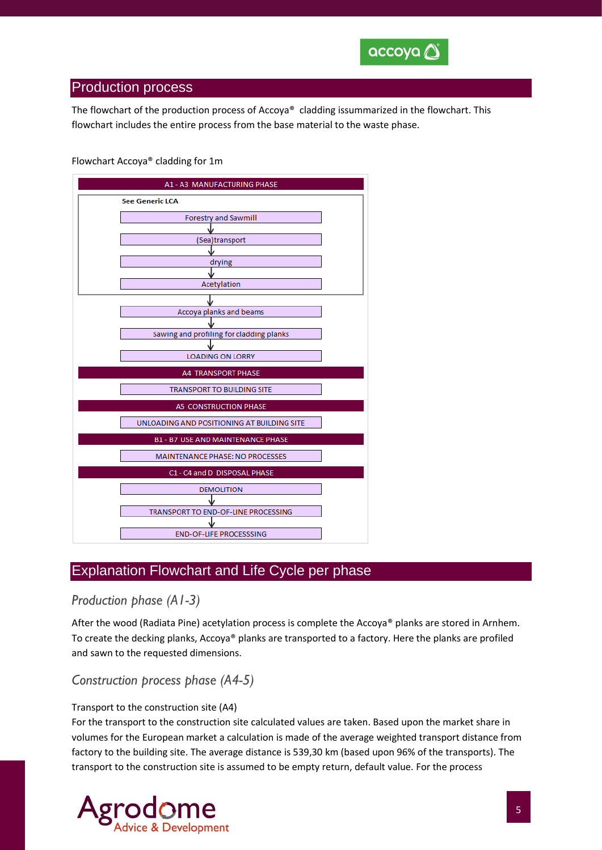

### Production process

The flowchart of the production process of Accoya® cladding issummarized in the flowchart. This flowchart includes the entire process from the base material to the waste phase.

#### Flowchart Accoya® cladding for 1m



# Explanation Flowchart and Life Cycle per phase

# *Production phase (A1-3)*

After the wood (Radiata Pine) acetylation process is complete the Accoya® planks are stored in Arnhem. To create the decking planks, Accoya® planks are transported to a factory. Here the planks are profiled and sawn to the requested dimensions.

# *Construction process phase (A4-5)*

#### Transport to the construction site (A4)

For the transport to the construction site calculated values are taken. Based upon the market share in volumes for the European market a calculation is made of the average weighted transport distance from factory to the building site. The average distance is 539,30 km (based upon 96% of the transports). The transport to the construction site is assumed to be empty return, default value. For the process

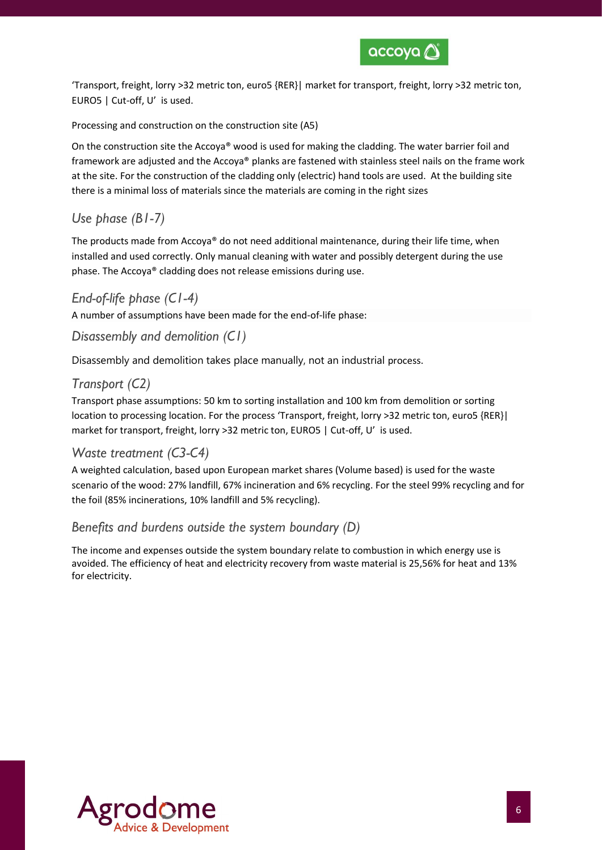

'Transport, freight, lorry >32 metric ton, euro5 {RER}| market for transport, freight, lorry >32 metric ton, EURO5 | Cut-off, U' is used.

#### Processing and construction on the construction site (A5)

On the construction site the Accoya® wood is used for making the cladding. The water barrier foil and framework are adjusted and the Accoya® planks are fastened with stainless steel nails on the frame work at the site. For the construction of the cladding only (electric) hand tools are used. At the building site there is a minimal loss of materials since the materials are coming in the right sizes

### *Use phase (B1-7)*

The products made from Accoya® do not need additional maintenance, during their life time, when installed and used correctly. Only manual cleaning with water and possibly detergent during the use phase. The Accoya® cladding does not release emissions during use.

### *End-of-life phase (C1-4)*

A number of assumptions have been made for the end-of-life phase:

#### *Disassembly and demolition (C1)*

Disassembly and demolition takes place manually, not an industrial process.

### *Transport (C2)*

Transport phase assumptions: 50 km to sorting installation and 100 km from demolition or sorting location to processing location. For the process 'Transport, freight, lorry >32 metric ton, euro5 {RER}| market for transport, freight, lorry >32 metric ton, EURO5 | Cut-off, U' is used.

#### *Waste treatment (C3-C4)*

A weighted calculation, based upon European market shares (Volume based) is used for the waste scenario of the wood: 27% landfill, 67% incineration and 6% recycling. For the steel 99% recycling and for the foil (85% incinerations, 10% landfill and 5% recycling).

#### *Benefits and burdens outside the system boundary (D)*

The income and expenses outside the system boundary relate to combustion in which energy use is avoided. The efficiency of heat and electricity recovery from waste material is 25,56% for heat and 13% for electricity.

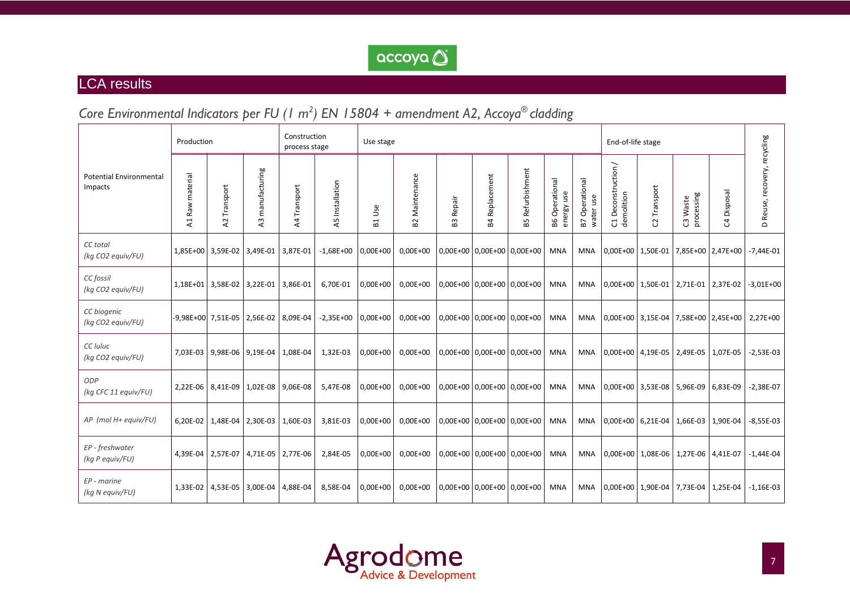

#### l. LCA results

# *Core Environmental Indicators per FU (1 m 2 ) EN 15804 + amendment A2, Accoya® cladding*

|                                           | Production                        |                                           |                     | Construction<br>process stage |                    | Use stage  |                       |                            |                   |                            |                                     |                                | End-of-life stage                                |                   |                                     |                   |                              |
|-------------------------------------------|-----------------------------------|-------------------------------------------|---------------------|-------------------------------|--------------------|------------|-----------------------|----------------------------|-------------------|----------------------------|-------------------------------------|--------------------------------|--------------------------------------------------|-------------------|-------------------------------------|-------------------|------------------------------|
| <b>Potential Environmental</b><br>Impacts | material<br>Raw<br>$\overline{A}$ | Transport<br>$\overline{A}$               | manufacturing<br>43 | Transport<br>$\overline{4}$   | Installation<br>45 | Use<br>51  | <b>B2 Maintenance</b> | Repair<br>B3               | Replacement<br>В4 | Refurbishment<br>B5        | <b>B6</b> Operational<br>energy use | Operational<br>water use<br>B7 | Deconstruction /<br>demolition<br>$\overline{C}$ | Transport<br>C)   | processing<br>C3 Waste              | C4 Disposal       | D Reuse, recovery, recycling |
| CC total<br>(kg CO2 equiv/FU)             |                                   | 1,85E+00 3,59E-02 3,49E-01                |                     | 3,87E-01                      | $-1,68E+00$        | $0,00E+00$ | $0,00E+00$            |                            |                   | 0,00E+00 0,00E+00 0,00E+00 | <b>MNA</b>                          | <b>MNA</b>                     | $0,00E+00$                                       | 1,50E-01          |                                     | 7,85E+00 2,47E+00 | $-7,44E-01$                  |
| CC fossil<br>(kg CO2 equiv/FU)            |                                   | 1,18E+01 3,58E-02 3,22E-01                |                     | 3,86E-01                      | 6,70E-01           | $0,00E+00$ | $0,00E+00$            |                            |                   | 0,00E+00 0,00E+00 0,00E+00 | <b>MNA</b>                          | <b>MNA</b>                     | 0,00E+00                                         | 1,50E-01          |                                     | 2,71E-01 2,37E-02 | $-3,01E+00$                  |
| CC biogenic<br>(kg CO2 equiv/FU)          |                                   | -9,98E+00 7,51E-05                        | 2,56E-02            | 8,09E-04                      | $-2,35E+00$        | $0,00E+00$ | $0,00E+00$            | 0,00E+00 0,00E+00 0,00E+00 |                   |                            | <b>MNA</b>                          | <b>MNA</b>                     | $0,00E+00$                                       | 3,15E-04          |                                     | 7,58E+00 2,45E+00 | 2,27E+00                     |
| CC luluc<br>(kg CO2 equiv/FU)             |                                   | 7,03E-03 9,98E-06 9,19E-04                |                     | 1,08E-04                      | 1,32E-03           | $0,00E+00$ | $0,00E+00$            |                            |                   | 0,00E+00 0,00E+00 0,00E+00 | <b>MNA</b>                          | <b>MNA</b>                     | 0,00E+00                                         | 4,19E-05          | 2,49E-05                            | 1,07E-05          | $-2,53E-03$                  |
| ODP<br>(kg CFC 11 equiv/FU)               |                                   | 2,22E-06   8,41E-09   1,02E-08   9,06E-08 |                     |                               | 5,47E-08           | $0,00E+00$ | $0,00E+00$            | 0,00E+00 0,00E+00 0,00E+00 |                   |                            | <b>MNA</b>                          | <b>MNA</b>                     |                                                  |                   | 0,00E+00 3,53E-08 5,96E-09 6,83E-09 |                   | $-2,38E-07$                  |
| AP (mol H+ equiv/FU)                      | 6.20E-02                          |                                           | 1,48E-04 2,30E-03   | 1,60E-03                      | 3,81E-03           | $0,00E+00$ | $0,00E+00$            |                            |                   | 0,00E+00 0,00E+00 0,00E+00 | <b>MNA</b>                          | <b>MNA</b>                     |                                                  | 0,00E+00 6,21E-04 | 1,66E-03 1,90E-04                   |                   | $-8,55E-03$                  |
| EP - freshwater<br>(kg P equiv/FU)        |                                   | 4,39E-04 2,57E-07 4,71E-05                |                     | 2,77E-06                      | 2,84E-05           | $0,00E+00$ | $0,00E+00$            |                            |                   | 0,00E+00 0,00E+00 0,00E+00 | <b>MNA</b>                          | <b>MNA</b>                     | 0,00E+00                                         |                   | 1,08E-06 1,27E-06 4,41E-07          |                   | $-1,44E-04$                  |
| EP - marine<br>(kg N equiv/FU)            |                                   | 1,33E-02 4,53E-05 3,00E-04                |                     | 4,88E-04                      | 8,58E-04           | $0,00E+00$ | $0,00E+00$            | 0,00E+00 0,00E+00 0,00E+00 |                   |                            | <b>MNA</b>                          | <b>MNA</b>                     | 0,00E+00                                         | 1,90E-04          | 7,73E-04                            | 1,25E-04          | $-1,16E-03$                  |

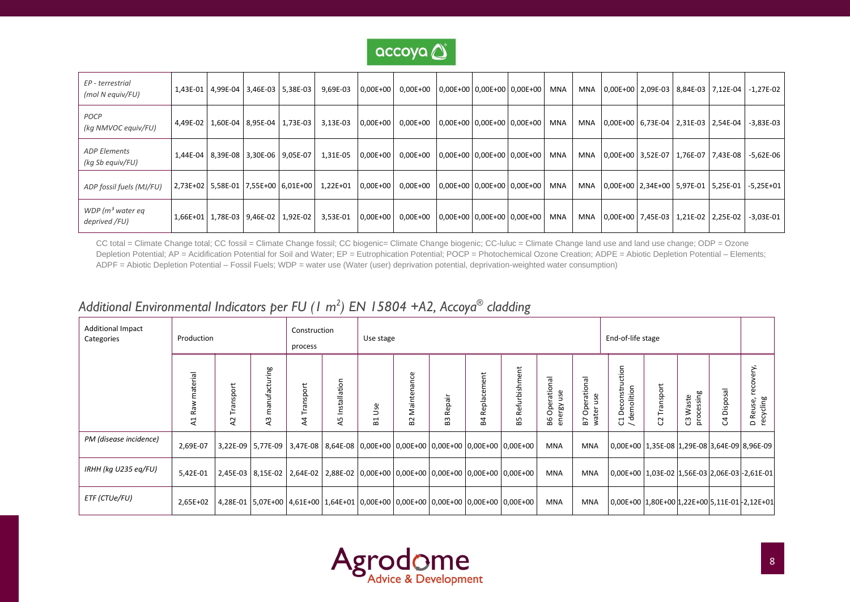

| EP - terrestrial<br>(mol N equiv/FU)    |  | 1,43E-01   4,99E-04   3,46E-03   5,38E-03 | 9,69E-03                                                                                      | $\vert 0,00E+00 \vert 0,00E+00 \vert 0,00E+00 \vert 0,00E+00 \vert 0,00E+00 \vert$ |  | MNA        | MNA |  |                                     | $ 0,00E+00 $ 2,09E-03   8,84E-03   7,12E-04   -1,27E-02 |
|-----------------------------------------|--|-------------------------------------------|-----------------------------------------------------------------------------------------------|------------------------------------------------------------------------------------|--|------------|-----|--|-------------------------------------|---------------------------------------------------------|
| POCP<br>(kg NMVOC equiv/FU)             |  | 4,49E-02   1,60E-04   8,95E-04   1,73E-03 |                                                                                               | 3,13E-03   0,00E+00   0,00E+00   0,00E+00   0,00E+00   0,00E+00                    |  | <b>MNA</b> | MNA |  |                                     | 0,00E+00 6,73E-04 2,31E-03 2,54E-04 -3,83E-03           |
| <b>ADP Elements</b><br>(kg Sb equiv/FU) |  | 1,44E-04   8,39E-08   3,30E-06   9,05E-07 |                                                                                               | 1,31E-05 0,00E+00 0,00E+00 0,00E+00 0,00E+00 0,00E+00                              |  | MNA        | MNA |  |                                     | 0,00E+00 3,52E-07 1,76E-07 7,43E-08 -5,62E-06           |
| ADP fossil fuels (MJ/FU)                |  |                                           | 2,73E+02 5,58E-01 7,55E+00 6,01E+00  1,22E+01  0,00E+00  0,00E+00  0,00E+00 0,00E+00 0,00E+00 |                                                                                    |  | MNA        | MNA |  |                                     | 0,00E+00   2,34E+00   5,97E-01   5,25E-01   -5,25E+01   |
| WDP ( $m3$ water eq<br>deprived /FU)    |  | 1,66E+01 1,78E-03 9,46E-02 1,92E-02       |                                                                                               | 3,53E-01   0,00E+00   0,00E+00   0,00E+00   0,00E+00   0,00E+00                    |  | <b>MNA</b> | MNA |  | 0,00E+00 7,45E-03 1,21E-02 2,25E-02 | -3,03E-01                                               |

CC total = Climate Change total; CC fossil = Climate Change fossil; CC biogenic= Climate Change biogenic; CC-luluc = Climate Change land use and land use change; ODP = Ozone Depletion Potential; AP = Acidification Potential for Soil and Water; EP = Eutrophication Potential; POCP = Photochemical Ozone Creation; ADPE = Abiotic Depletion Potential – Elements; ADPF = Abiotic Depletion Potential – Fossil Fuels; WDP = water use (Water (user) deprivation potential, deprivation-weighted water consumption)

# *Additional Environmental Indicators per FU (1 m 2 ) EN 15804 +A2, Accoya® cladding*

| <b>Additional Impact</b><br>Categories | Production    |                 |                         | Construction<br>process        |                    | Use stage |                        |              |                   |                                                                                                      |                                                     |                                     | End-of-life stage                              |                 |                        |             |                                    |
|----------------------------------------|---------------|-----------------|-------------------------|--------------------------------|--------------------|-----------|------------------------|--------------|-------------------|------------------------------------------------------------------------------------------------------|-----------------------------------------------------|-------------------------------------|------------------------------------------------|-----------------|------------------------|-------------|------------------------------------|
|                                        | lēj<br>≃<br>4 | Transport<br>57 | ufacturing<br>man<br>23 | ansport<br>۴<br>$\overline{A}$ | Installation<br>45 | Use<br>뭅  | ပ္ပ<br>Maintenan<br>52 | Repair<br>53 | Replacement<br>54 | ë<br>Refu<br>59                                                                                      | rational<br>9S<br>∍<br><b>Ope</b><br>erg<br>98<br>듦 | erational<br>use<br>å<br>water<br>5 | uction<br>lemolition<br>st<br>ë<br>ق<br>ರ ತೆ   | Transport<br>S. | C3 Waste<br>processing | C4 Disposal | recovery,<br>D Reuse,<br>recycling |
| PM (disease incidence)                 | 2,69E-07      |                 |                         |                                |                    |           |                        |              |                   | 3,22E-09 5,77E-09 3,47E-08 8,64E-08 0,00E+00 0,00E+00 0,00E+00 0,00E+00 0,00E+00                     | MNA                                                 | <b>MNA</b>                          | 0,00E+00 1,35E-08 1,29E-08 3,64E-09 8,96E-09   |                 |                        |             |                                    |
| IRHH (kg U235 eg/FU)                   | 5,42E-01      |                 |                         |                                |                    |           |                        |              |                   | 2,45E-03   8,15E-02   2,64E-02   2,88E-02   0,00E+00   0,00E+00   0,00E+00   0,00E+00   0,00E+00   2 | MNA                                                 | <b>MNA</b>                          | 0,00E+00 1,03E-02 1,56E-03 2,06E-03 -2,61E-01  |                 |                        |             |                                    |
| ETF (CTUe/FU)                          | 2,65E+02      |                 |                         |                                |                    |           |                        |              |                   | 4,28E-01   5,07E+00   4,61E+00   1,64E+01   0,00E+00   0,00E+00   0,00E+00   0,00E+00   0,00E+00     | MNA                                                 | <b>MNA</b>                          | 0,00E+00 1,80E+00 1,22E+00 5,11E-01 - 2,12E+01 |                 |                        |             |                                    |

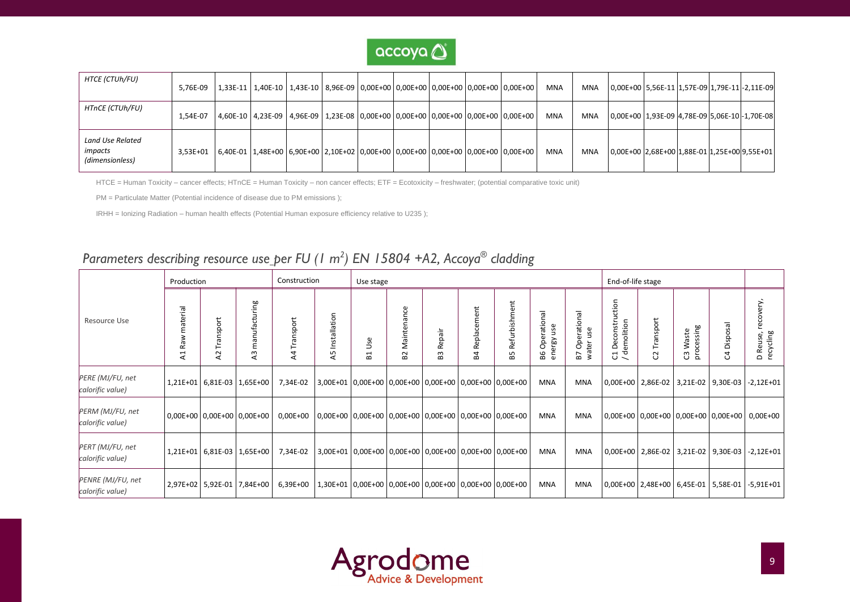

| HTCE (CTUh/FU)                                 | 5.76E-09 |  |  |  |  | 1,33E-11   1,40E-10   1,43E-10   8,96E-09  0,00E+00  0,00E+00  0,00E+00  0,00E+00  0,00E+00  | MNA        | MNA | 0,00E+00 5,56E-11 1,57E-09 1,79E-11 - 2,11E-09 |  |  |
|------------------------------------------------|----------|--|--|--|--|----------------------------------------------------------------------------------------------|------------|-----|------------------------------------------------|--|--|
| HTnCE (CTUh/FU)                                | 1,54E-07 |  |  |  |  | 4,60E-10   4,23E-09   4,96E-09   1,23E-08  0,00E+00  0,00E+00  0,00E+00  0,00E+00  0,00E+00  | MNA        | MNA | 0,00E+00 1,93E-09 4,78E-09 5,06E-10 - 1,70E-08 |  |  |
| Land Use Related<br>impacts<br>(dimensionless) | 3.53E+01 |  |  |  |  | 6,40E-01   1,48E+00   6,90E+00   2,10E+02  0,00E+00  0,00E+00   0,00E+00  0,00E+00  0,00E+00 | <b>MNA</b> | MNA | 0,00E+00 2,68E+00 1,88E-01 1,25E+00 9,55E+01   |  |  |

HTCE = Human Toxicity – cancer effects; HTnCE = Human Toxicity – non cancer effects; ETF = Ecotoxicity – freshwater; (potential comparative toxic unit)

PM = Particulate Matter (Potential incidence of disease due to PM emissions );

IRHH = Ionizing Radiation – human health effects (Potential Human exposure efficiency relative to U235 );

# *Parameters describing resource use per FU (1 m 2 ) EN 15804 +A2, Accoya® cladding*

|                                       | Production         |                    |                            | Construction                                                   |                                                                 | Use stage      |                                                       |              |                         |                     |                                    |                                  | End-of-life stage                           |              |                        |               |                                                   |
|---------------------------------------|--------------------|--------------------|----------------------------|----------------------------------------------------------------|-----------------------------------------------------------------|----------------|-------------------------------------------------------|--------------|-------------------------|---------------------|------------------------------------|----------------------------------|---------------------------------------------|--------------|------------------------|---------------|---------------------------------------------------|
| Resource Use                          | material<br>æ<br>হ | ansport<br>≐<br>58 | manufacturing<br>58        | ansport<br>$\overline{A}$                                      | Installation<br>45                                              | Use<br>$E_{1}$ | Maintenance<br>B <sub>2</sub>                         | Repair<br>63 | Replacement<br><b>Z</b> | Refurbishment<br>55 | Operational<br>use<br>energy<br>98 | Operational<br>use<br>water<br>5 | uction<br>emolition<br>nstr<br>Deco<br>ರ ತೆ | ansport<br>S | C3 Waste<br>processing | Disposal<br>ಕ | recovery,<br>D Reuse,<br>recycling                |
| PERE (MJ/FU, net<br>calorific value)  |                    |                    | 1,21E+01 6,81E-03 1,65E+00 | 7,34E-02                                                       | 3,00E+01 0,00E+00 0,00E+00 0,00E+00 0,00E+00 0,00E+00           |                |                                                       |              |                         |                     | MNA                                | MNA                              |                                             |              |                        |               | $ 0,00E+00 $ 2,86E-02 3,21E-02 9,30E-03 -2,12E+01 |
| PERM (MJ/FU, net<br>calorific value)  |                    |                    | 0,00E+00 0,00E+00 0,00E+00 | 0,00E+00 0,00E+00 0,00E+00 0,00E+00 0,00E+00 0,00E+00 0,00E+00 |                                                                 |                |                                                       |              |                         |                     | MNA                                | <b>MNA</b>                       |                                             |              |                        |               | 0,00E+00 0,00E+00 0,00E+00 0,00E+00 0,00E+00      |
| PERT (MJ/FU, net<br>calorific value)  |                    |                    | 1,21E+01 6,81E-03 1,65E+00 | 7,34E-02                                                       | 3,00E+01   0,00E+00   0,00E+00   0,00E+00   0,00E+00   0,00E+00 |                |                                                       |              |                         |                     | <b>MNA</b>                         | <b>MNA</b>                       |                                             |              |                        |               | 0,00E+00 2,86E-02 3,21E-02 9,30E-03 -2,12E+01     |
| PENRE (MJ/FU, net<br>calorific value) |                    |                    | 2,97E+02 5,92E-01 7,84E+00 | 6,39E+00                                                       |                                                                 |                | 1,30E+01 0,00E+00 0,00E+00 0,00E+00 0,00E+00 0,00E+00 |              |                         |                     | MNA                                | <b>MNA</b>                       |                                             |              |                        |               | 0,00E+00 2,48E+00 6,45E-01 5,58E-01 -5,91E+01     |

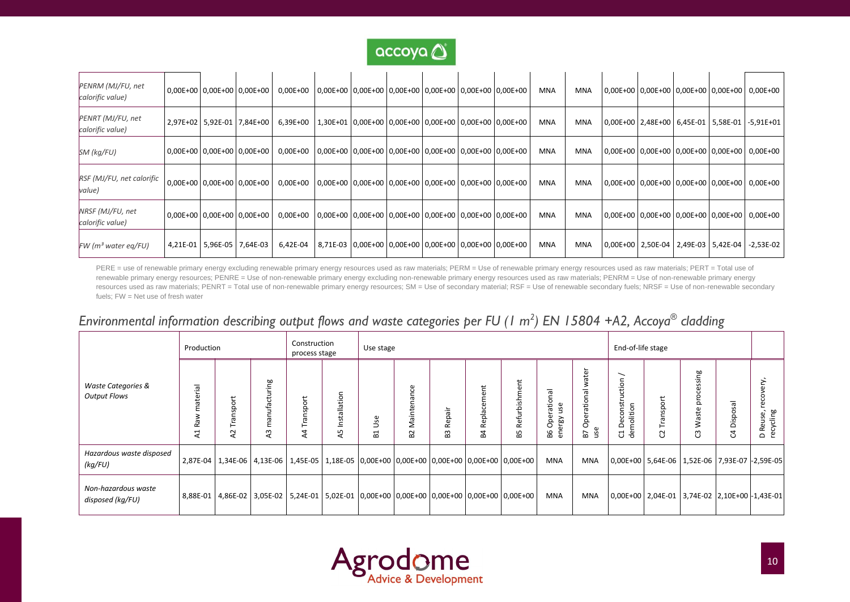

| PENRM (MJ/FU, net<br>calorific value) |                                | 0,00E+00 0,00E+00 0,00E+00 | $0,00E+00$ 0,00E+00 0,00E+00 0,00E+00 0,00E+00 0,00E+00 0,00E+00                         |  |                                                       |  | <b>MNA</b> | MNA        |  |  | 0,00E+00 0,00E+00 0,00E+00 0,00E+00 0,00E+00         |
|---------------------------------------|--------------------------------|----------------------------|------------------------------------------------------------------------------------------|--|-------------------------------------------------------|--|------------|------------|--|--|------------------------------------------------------|
| PENRT (MJ/FU, net<br>calorific value) |                                | 2,97E+02 5,92E-01 7,84E+00 | 6,39E+00                                                                                 |  | 1,30E+01 0,00E+00 0,00E+00 0,00E+00 0,00E+00 0,00E+00 |  | MNA        | <b>MNA</b> |  |  | 0,00E+00 2,48E+00 6,45E-01 5,58E-01 -5,91E+01        |
| SM (kg/FU)                            |                                | 0,00E+00 0,00E+00 0,00E+00 | $0,00E+00$   $0,00E+00$   $0,00E+00$   $0,00E+00$   $0,00E+00$   $0,00E+00$   $0,00E+00$ |  |                                                       |  | <b>MNA</b> | <b>MNA</b> |  |  | 0,00E+00   0,00E+00   0,00E+00   0,00E+00   0,00E+00 |
| RSF (MJ/FU, net calorific<br>value)   |                                | 0,00E+00 0,00E+00 0,00E+00 | $0,00E+00$   $0,00E+00$   $0,00E+00$   $0,00E+00$   $0,00E+00$   $0,00E+00$   $0,00E+00$ |  |                                                       |  | <b>MNA</b> | MNA        |  |  | 0,00E+00   0,00E+00   0,00E+00   0,00E+00   0,00E+00 |
| NRSF (MJ/FU, net<br>calorific value)  |                                | 0,00E+00 0,00E+00 0,00E+00 | $0,00E+00$ 0,00E+00 0,00E+00 0,00E+00 0,00E+00 0,00E+00 0,00E+00                         |  |                                                       |  | <b>MNA</b> | <b>MNA</b> |  |  | 0,00E+00 0,00E+00 0,00E+00 0,00E+00 0,00E+00         |
| $FW$ (m <sup>3</sup> water eq/FU)     | 4,21E-01   5,96E-05   7,64E-03 |                            | 6,42E-04                                                                                 |  | 8,71E-03 0,00E+00 0,00E+00 0,00E+00 0,00E+00 0,00E+00 |  | <b>MNA</b> | MNA        |  |  | 0,00E+00 2,50E-04 2,49E-03 5,42E-04 -2,53E-02        |

PERE = use of renewable primary energy excluding renewable primary energy resources used as raw materials; PERM = Use of renewable primary energy resources used as raw materials; PERT = Total use of renewable primary energy resources; PENRE = Use of non-renewable primary energy excluding non-renewable primary energy resources used as raw materials; PENRM = Use of non-renewable primary energy resources used as raw materials; PENRT = Total use of non-renewable primary energy resources; SM = Use of secondary material; RSF = Use of renewable secondary fuels; NRSF = Use of non-renewable secondary fuels; FW = Net use of fresh water

# *Environmental information describing output flows and waste categories per FU (1 m 2 ) EN 15804 +A2, Accoya® cladding*

|                                           | Production             |                                            |                                   | Construction<br>process stage                                                             |                                          | Use stage                           |                     |                   |                             |                         |                                         |                                     | End-of-life stage                               |                               |                                               |                              |                                                  |
|-------------------------------------------|------------------------|--------------------------------------------|-----------------------------------|-------------------------------------------------------------------------------------------|------------------------------------------|-------------------------------------|---------------------|-------------------|-----------------------------|-------------------------|-----------------------------------------|-------------------------------------|-------------------------------------------------|-------------------------------|-----------------------------------------------|------------------------------|--------------------------------------------------|
| Waste Categories &<br><b>Output Flows</b> | aterial<br>æ<br>1<br>⋖ | σrt<br>င္တ<br>$\sigma$<br>⊢<br>$\sim$<br>⋖ | nufacturing<br>त्त<br>ε<br>w<br>⋖ | ransport<br>⋖                                                                             | nstallation<br>$\qquad \qquad$<br>S<br>⋖ | 9su<br>H<br>$\overline{\mathbf{c}}$ | ω<br>B <sub>2</sub> | ÷<br>a<br>œ<br>63 | ω<br>epla<br>$\propto$<br>œ | ent<br>Refurbishm<br>B5 | Operational<br>use<br>B6 Oper<br>energy | ater<br>Operational<br>ω<br>57<br>Ξ | ∼<br>uction<br>Deconstr<br>molition<br>ರ<br>. 운 | Transport<br>$\sim$<br>$\cup$ | ஜ<br>.<br>Sā<br>pro<br>Waste<br>ෆී            | SS <sub>0</sub><br>Disp<br>Ö | ξ<br>ğ<br>eco<br>recycling<br>Reuse,<br>$\Omega$ |
| Hazardous waste disposed<br>(kg/FU)       |                        |                                            |                                   | 2,87E-04 1,34E-06 4,13E-06 1,45E-05 1,18E-05 0,00E+00 0,00E+00 0,00E+00 0,00E+00 0,00E+00 |                                          |                                     |                     |                   |                             |                         | <b>MNA</b>                              | <b>MNA</b>                          |                                                 |                               | 0,00E+00 5,64E-06 1,52E-06 7,93E-07 -2,59E-05 |                              |                                                  |
| Non-hazardous waste<br>disposed (kg/FU)   |                        |                                            |                                   | 8,88E-01 4,86E-02 3,05E-02 5,24E-01 5,02E-01 0,00E+00 0,00E+00 0,00E+00 0,00E+00 0,00E+00 |                                          |                                     |                     |                   |                             |                         | <b>MNA</b>                              | <b>MNA</b>                          |                                                 |                               | 0,00E+00 2,04E-01 3,74E-02 2,10E+00 -1,43E-01 |                              |                                                  |

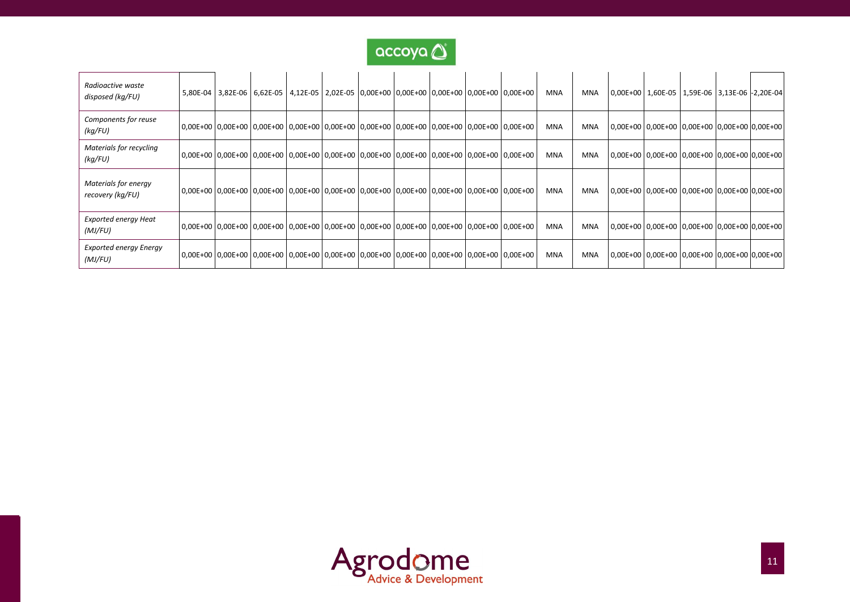

| Radioactive waste<br>disposed (kg/FU)    |  | 5,80E-04 3,82E-06 6,62E-05 4,12E-05 2,02E-05 0,00E+00 0,00E+00 0,00E+00 0,00E+00 0,00E+00                   |  |  |  | MNA        | MNA        | 0,00E+00   1,60E-05   1,59E-06   3,13E-06   -2,20E-04 |  |  |
|------------------------------------------|--|-------------------------------------------------------------------------------------------------------------|--|--|--|------------|------------|-------------------------------------------------------|--|--|
| Components for reuse<br>(kg/FU)          |  | 0,00E+00 0,00E+00 0,00E+00 0,00E+00 0,00E+00 0,00E+00 0,00E+00 0,00E+00 0,00E+00 0,00E+00 0,00E+00 0        |  |  |  | <b>MNA</b> | <b>MNA</b> | 0,00E+00 0,00E+00 0,00E+00 0,00E+00 0,00E+00          |  |  |
| Materials for recycling<br>(kg/FU)       |  | 0,00E+00   0,00E+00   0,00E+00   0,00E+00   0,00E+00   0,00E+00   0,00E+00   0,00E+00   0,00E+00   0,00E+00 |  |  |  | <b>MNA</b> | <b>MNA</b> | 0,00E+00 0,00E+00 0,00E+00 0,00E+00 0,00E+00          |  |  |
| Materials for energy<br>recovery (kg/FU) |  | 0,00E+00 0,00E+00 0,00E+00 0,00E+00 0,00E+00 0,00E+00 0,00E+00 0,00E+00 0,00E+00 0,00E+00 0,00E+00 0        |  |  |  | <b>MNA</b> | <b>MNA</b> | 0,00E+00 0,00E+00 0,00E+00 0,00E+00 0,00E+00          |  |  |
| <b>Exported energy Heat</b><br>(MJ/FU)   |  | 0,00E+00 0,00E+00 0,00E+00 0,00E+00 0,00E+00 0,00E+00 0,00E+00 0,00E+00 0,00E+00 0,00E+00 0,00E+00 0        |  |  |  | <b>MNA</b> | <b>MNA</b> | 0,00E+00 0,00E+00 0,00E+00 0,00E+00 0,00E+00          |  |  |
| <b>Exported energy Energy</b><br>(MJ/FU) |  | 0,00E+00 0,00E+00 0,00E+00 0,00E+00 0,00E+00 0,00E+00 0,00E+00 0,00E+00 0,00E+00 0,00E+00 0,00E+00 0        |  |  |  | <b>MNA</b> | MNA        | 0,00E+00 0,00E+00 0,00E+00 0,00E+00 0,00E+00          |  |  |

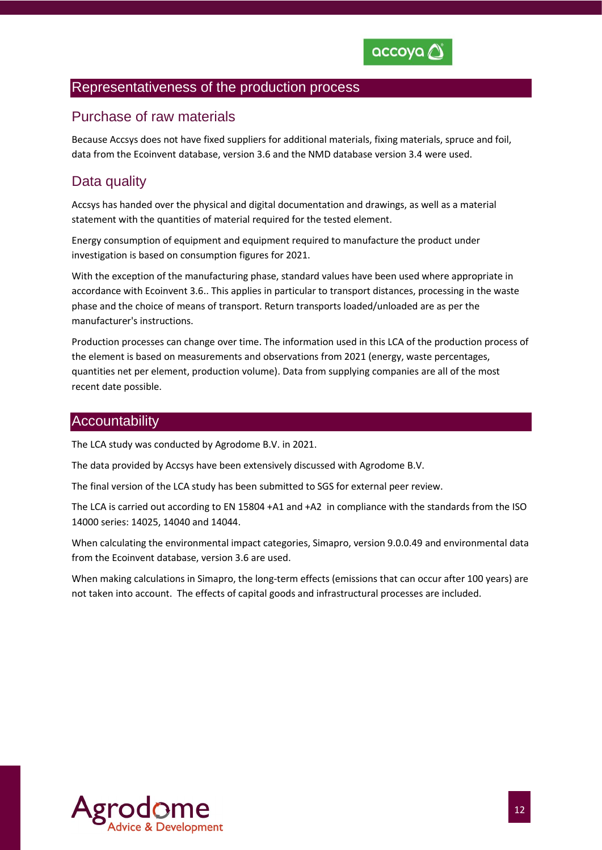

# Representativeness of the production process

# Purchase of raw materials

Because Accsys does not have fixed suppliers for additional materials, fixing materials, spruce and foil, data from the Ecoinvent database, version 3.6 and the NMD database version 3.4 were used.

# Data quality

Accsys has handed over the physical and digital documentation and drawings, as well as a material statement with the quantities of material required for the tested element.

Energy consumption of equipment and equipment required to manufacture the product under investigation is based on consumption figures for 2021.

With the exception of the manufacturing phase, standard values have been used where appropriate in accordance with Ecoinvent 3.6.. This applies in particular to transport distances, processing in the waste phase and the choice of means of transport. Return transports loaded/unloaded are as per the manufacturer's instructions.

Production processes can change over time. The information used in this LCA of the production process of the element is based on measurements and observations from 2021 (energy, waste percentages, quantities net per element, production volume). Data from supplying companies are all of the most recent date possible.

### Accountability

The LCA study was conducted by Agrodome B.V. in 2021.

The data provided by Accsys have been extensively discussed with Agrodome B.V.

The final version of the LCA study has been submitted to SGS for external peer review.

The LCA is carried out according to EN 15804 +A1 and +A2 in compliance with the standards from the ISO 14000 series: 14025, 14040 and 14044.

When calculating the environmental impact categories, Simapro, version 9.0.0.49 and environmental data from the Ecoinvent database, version 3.6 are used.

When making calculations in Simapro, the long-term effects (emissions that can occur after 100 years) are not taken into account. The effects of capital goods and infrastructural processes are included.

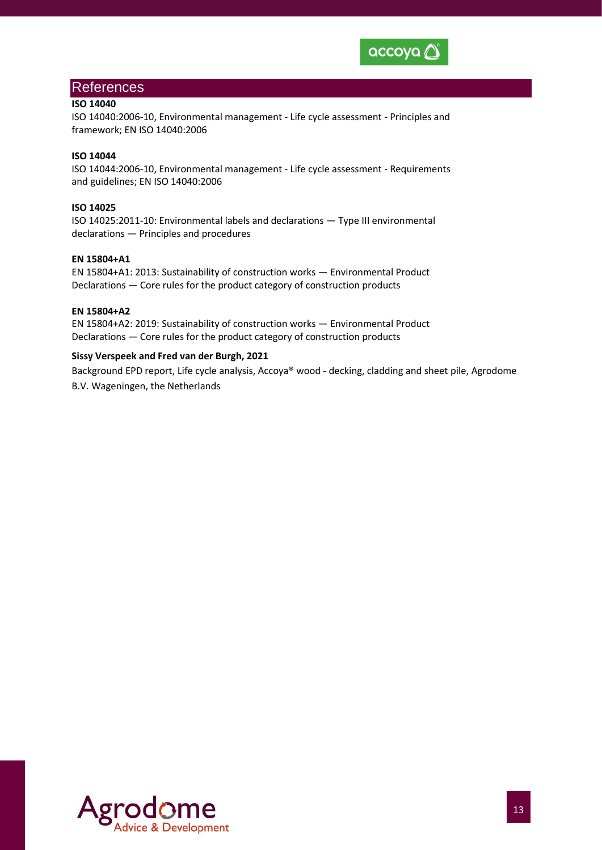

#### References

#### **ISO 14040**

ISO 14040:2006-10, Environmental management - Life cycle assessment - Principles and framework; EN ISO 14040:2006

#### **ISO 14044**

ISO 14044:2006-10, Environmental management - Life cycle assessment - Requirements and guidelines; EN ISO 14040:2006

#### **ISO 14025**

ISO 14025:2011-10: Environmental labels and declarations — Type III environmental declarations — Principles and procedures

#### **EN 15804+A1**

EN 15804+A1: 2013: Sustainability of construction works — Environmental Product Declarations — Core rules for the product category of construction products

#### **EN 15804+A2**

EN 15804+A2: 2019: Sustainability of construction works — Environmental Product Declarations — Core rules for the product category of construction products

#### **Sissy Verspeek and Fred van der Burgh, 2021**

Background EPD report, Life cycle analysis, Accoya® wood - decking, cladding and sheet pile, Agrodome B.V. Wageningen, the Netherlands